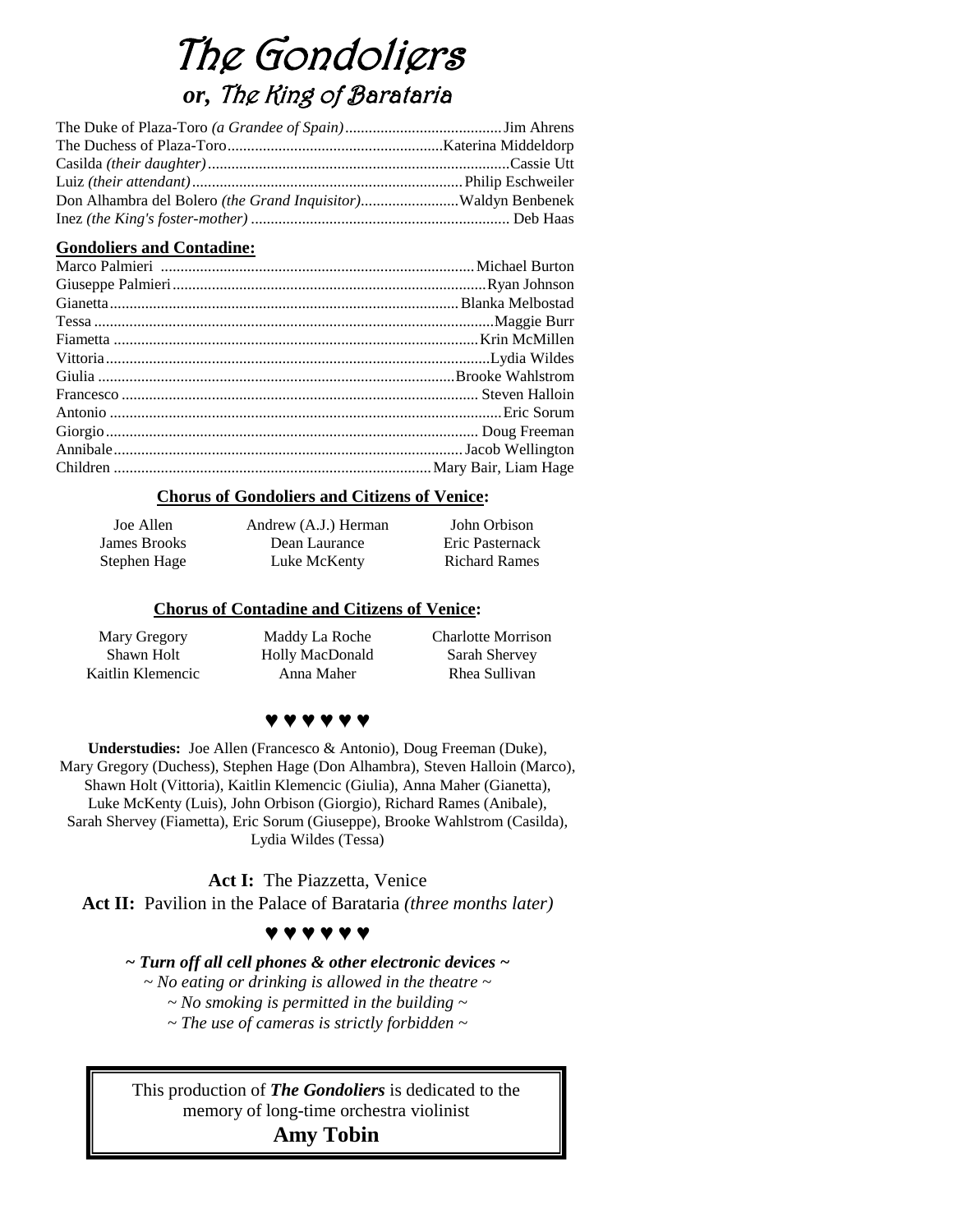# The Gondoliers *or,* The King of Barataria

#### **Gondoliers and Contadine:**

#### **Chorus of Gondoliers and Citizens of Venice:**

| Joe Allen    | Andrew (A.J.) Herman | John Orbison         |
|--------------|----------------------|----------------------|
| James Brooks | Dean Laurance        | Eric Pasternack      |
| Stephen Hage | Luke McKenty         | <b>Richard Rames</b> |

#### **Chorus of Contadine and Citizens of Venice:**

Mary Gregory Shawn Holt Kaitlin Klemencic

Maddy La Roche Holly MacDonald Anna Maher

Charlotte Morrison Sarah Shervey Rhea Sullivan

### **♥ ♥ ♥ ♥ ♥ ♥**

**Understudies:** Joe Allen (Francesco & Antonio), Doug Freeman (Duke), Mary Gregory (Duchess), Stephen Hage (Don Alhambra), Steven Halloin (Marco), Shawn Holt (Vittoria), Kaitlin Klemencic (Giulia), Anna Maher (Gianetta), Luke McKenty (Luis), John Orbison (Giorgio), Richard Rames (Anibale), Sarah Shervey (Fiametta), Eric Sorum (Giuseppe), Brooke Wahlstrom (Casilda), Lydia Wildes (Tessa)

**Act I:** The Piazzetta, Venice **Act II:** Pavilion in the Palace of Barataria *(three months later)*

#### **♥ ♥ ♥ ♥ ♥ ♥**

*~ Turn off all cell phones & other electronic devices ~*

*~ No eating or drinking is allowed in the theatre ~*

*~ No smoking is permitted in the building ~*

*~ The use of cameras is strictly forbidden ~*

This production of *The Gondoliers* is dedicated to the memory of long-time orchestra violinist

#### **Amy Tobin**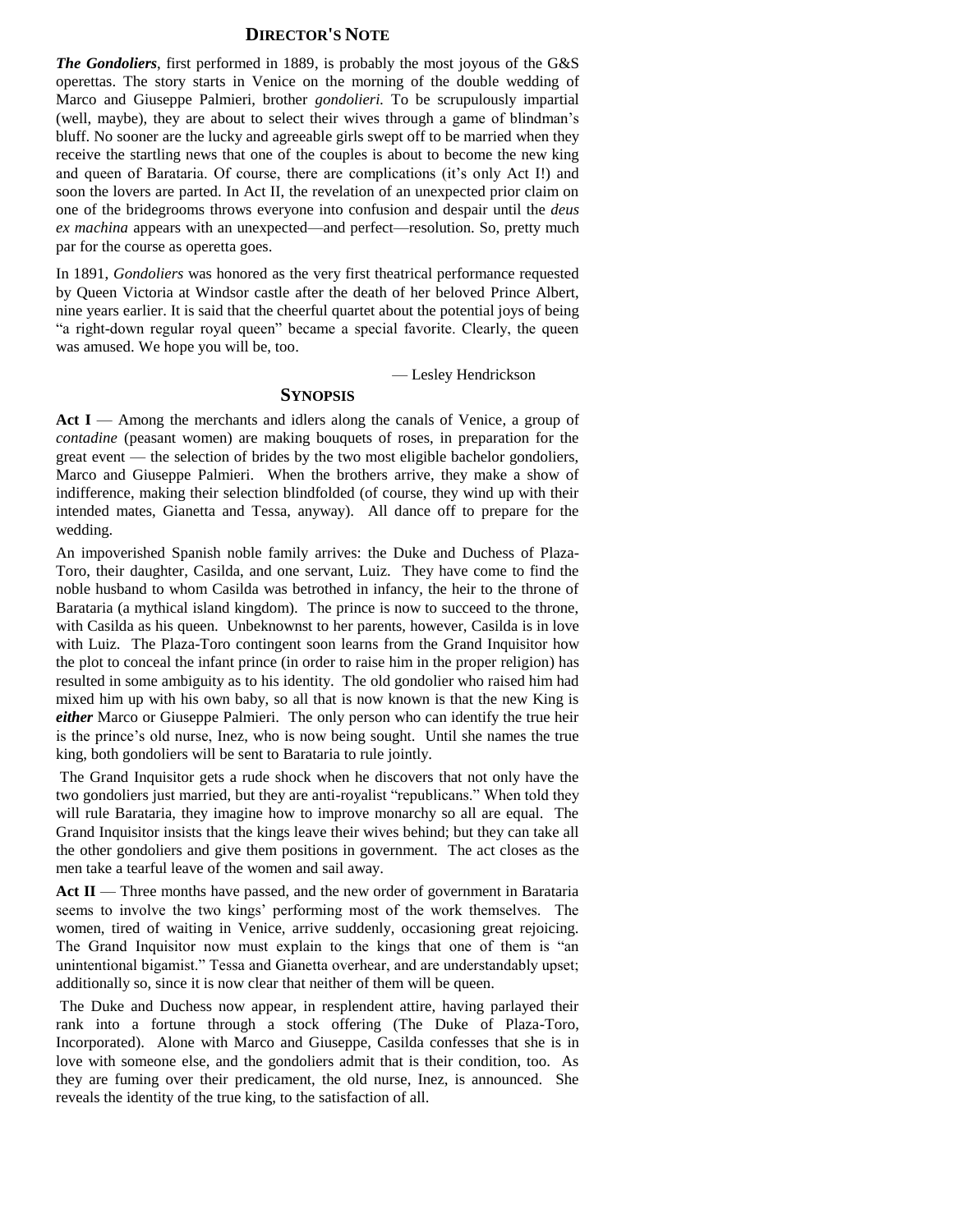#### **DIRECTOR'S NOTE**

*The Gondoliers*, first performed in 1889, is probably the most joyous of the G&S operettas. The story starts in Venice on the morning of the double wedding of Marco and Giuseppe Palmieri, brother *gondolieri.* To be scrupulously impartial (well, maybe), they are about to select their wives through a game of blindman's bluff. No sooner are the lucky and agreeable girls swept off to be married when they receive the startling news that one of the couples is about to become the new king and queen of Barataria. Of course, there are complications (it's only Act I!) and soon the lovers are parted. In Act II, the revelation of an unexpected prior claim on one of the bridegrooms throws everyone into confusion and despair until the *deus ex machina* appears with an unexpected—and perfect—resolution. So, pretty much par for the course as operetta goes.

In 1891, *Gondoliers* was honored as the very first theatrical performance requested by Queen Victoria at Windsor castle after the death of her beloved Prince Albert, nine years earlier. It is said that the cheerful quartet about the potential joys of being "a right-down regular royal queen" became a special favorite. Clearly, the queen was amused. We hope you will be, too.

— Lesley Hendrickson

#### **SYNOPSIS**

Act I — Among the merchants and idlers along the canals of Venice, a group of *contadine* (peasant women) are making bouquets of roses, in preparation for the great event — the selection of brides by the two most eligible bachelor gondoliers, Marco and Giuseppe Palmieri. When the brothers arrive, they make a show of indifference, making their selection blindfolded (of course, they wind up with their intended mates, Gianetta and Tessa, anyway). All dance off to prepare for the wedding.

An impoverished Spanish noble family arrives: the Duke and Duchess of Plaza-Toro, their daughter, Casilda, and one servant, Luiz. They have come to find the noble husband to whom Casilda was betrothed in infancy, the heir to the throne of Barataria (a mythical island kingdom). The prince is now to succeed to the throne, with Casilda as his queen. Unbeknownst to her parents, however, Casilda is in love with Luiz. The Plaza-Toro contingent soon learns from the Grand Inquisitor how the plot to conceal the infant prince (in order to raise him in the proper religion) has resulted in some ambiguity as to his identity. The old gondolier who raised him had mixed him up with his own baby, so all that is now known is that the new King is *either* Marco or Giuseppe Palmieri. The only person who can identify the true heir is the prince's old nurse, Inez, who is now being sought. Until she names the true king, both gondoliers will be sent to Barataria to rule jointly.

The Grand Inquisitor gets a rude shock when he discovers that not only have the two gondoliers just married, but they are anti-royalist "republicans." When told they will rule Barataria, they imagine how to improve monarchy so all are equal. The Grand Inquisitor insists that the kings leave their wives behind; but they can take all the other gondoliers and give them positions in government. The act closes as the men take a tearful leave of the women and sail away.

Act II — Three months have passed, and the new order of government in Barataria seems to involve the two kings' performing most of the work themselves. The women, tired of waiting in Venice, arrive suddenly, occasioning great rejoicing. The Grand Inquisitor now must explain to the kings that one of them is "an unintentional bigamist." Tessa and Gianetta overhear, and are understandably upset; additionally so, since it is now clear that neither of them will be queen.

The Duke and Duchess now appear, in resplendent attire, having parlayed their rank into a fortune through a stock offering (The Duke of Plaza-Toro, Incorporated). Alone with Marco and Giuseppe, Casilda confesses that she is in love with someone else, and the gondoliers admit that is their condition, too. As they are fuming over their predicament, the old nurse, Inez, is announced. She reveals the identity of the true king, to the satisfaction of all.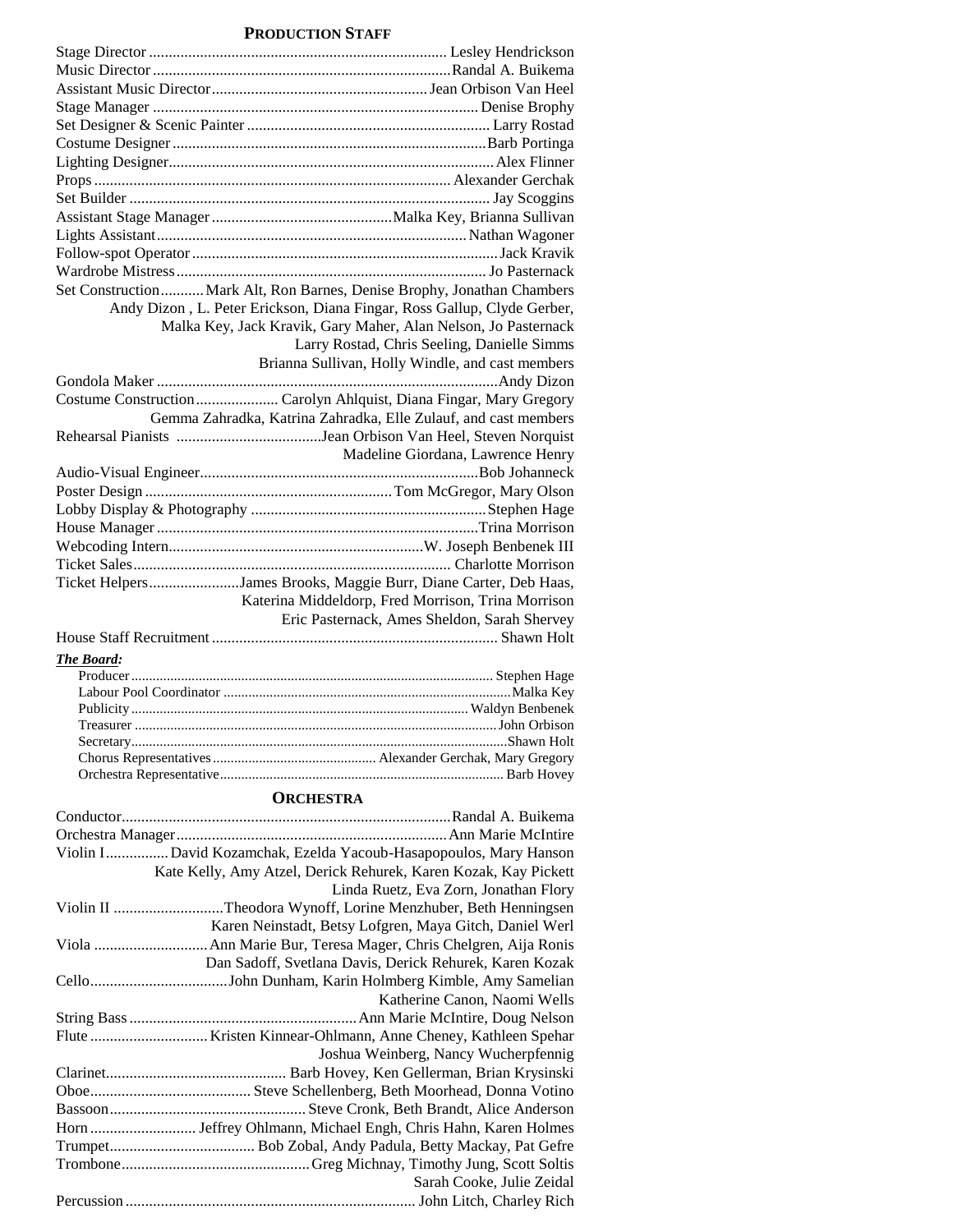#### **PRODUCTION STAFF**

| Set Construction Mark Alt, Ron Barnes, Denise Brophy, Jonathan Chambers |                                                                         |
|-------------------------------------------------------------------------|-------------------------------------------------------------------------|
|                                                                         | Andy Dizon, L. Peter Erickson, Diana Fingar, Ross Gallup, Clyde Gerber, |
|                                                                         | Malka Key, Jack Kravik, Gary Maher, Alan Nelson, Jo Pasternack          |
|                                                                         | Larry Rostad, Chris Seeling, Danielle Simms                             |
|                                                                         | Brianna Sullivan, Holly Windle, and cast members                        |
|                                                                         |                                                                         |
|                                                                         |                                                                         |
|                                                                         | Gemma Zahradka, Katrina Zahradka, Elle Zulauf, and cast members         |
|                                                                         |                                                                         |
|                                                                         | Madeline Giordana, Lawrence Henry                                       |
|                                                                         |                                                                         |
|                                                                         |                                                                         |
|                                                                         |                                                                         |
|                                                                         |                                                                         |
|                                                                         |                                                                         |
|                                                                         |                                                                         |
| Ticket HelpersJames Brooks, Maggie Burr, Diane Carter, Deb Haas,        |                                                                         |
|                                                                         | Katerina Middeldorp, Fred Morrison, Trina Morrison                      |
|                                                                         | Eric Pasternack, Ames Sheldon, Sarah Shervey                            |
|                                                                         |                                                                         |
| <b>The Board:</b>                                                       |                                                                         |
|                                                                         |                                                                         |
|                                                                         |                                                                         |
|                                                                         |                                                                         |
|                                                                         |                                                                         |
|                                                                         |                                                                         |
|                                                                         |                                                                         |
|                                                                         |                                                                         |

#### **ORCHESTRA**

| Violin I David Kozamchak, Ezelda Yacoub-Hasapopoulos, Mary Hanson |
|-------------------------------------------------------------------|
| Kate Kelly, Amy Atzel, Derick Rehurek, Karen Kozak, Kay Pickett   |
| Linda Ruetz, Eva Zorn, Jonathan Flory                             |
| .Theodora Wynoff, Lorine Menzhuber, Beth Henningsen               |
| Karen Neinstadt, Betsy Lofgren, Maya Gitch, Daniel Werl           |
|                                                                   |
| Dan Sadoff, Svetlana Davis, Derick Rehurek, Karen Kozak           |
|                                                                   |
| Katherine Canon, Naomi Wells                                      |
|                                                                   |
|                                                                   |
| Joshua Weinberg, Nancy Wucherpfennig                              |
|                                                                   |
|                                                                   |
|                                                                   |
|                                                                   |
|                                                                   |
|                                                                   |
| Sarah Cooke, Julie Zeidal                                         |
|                                                                   |
|                                                                   |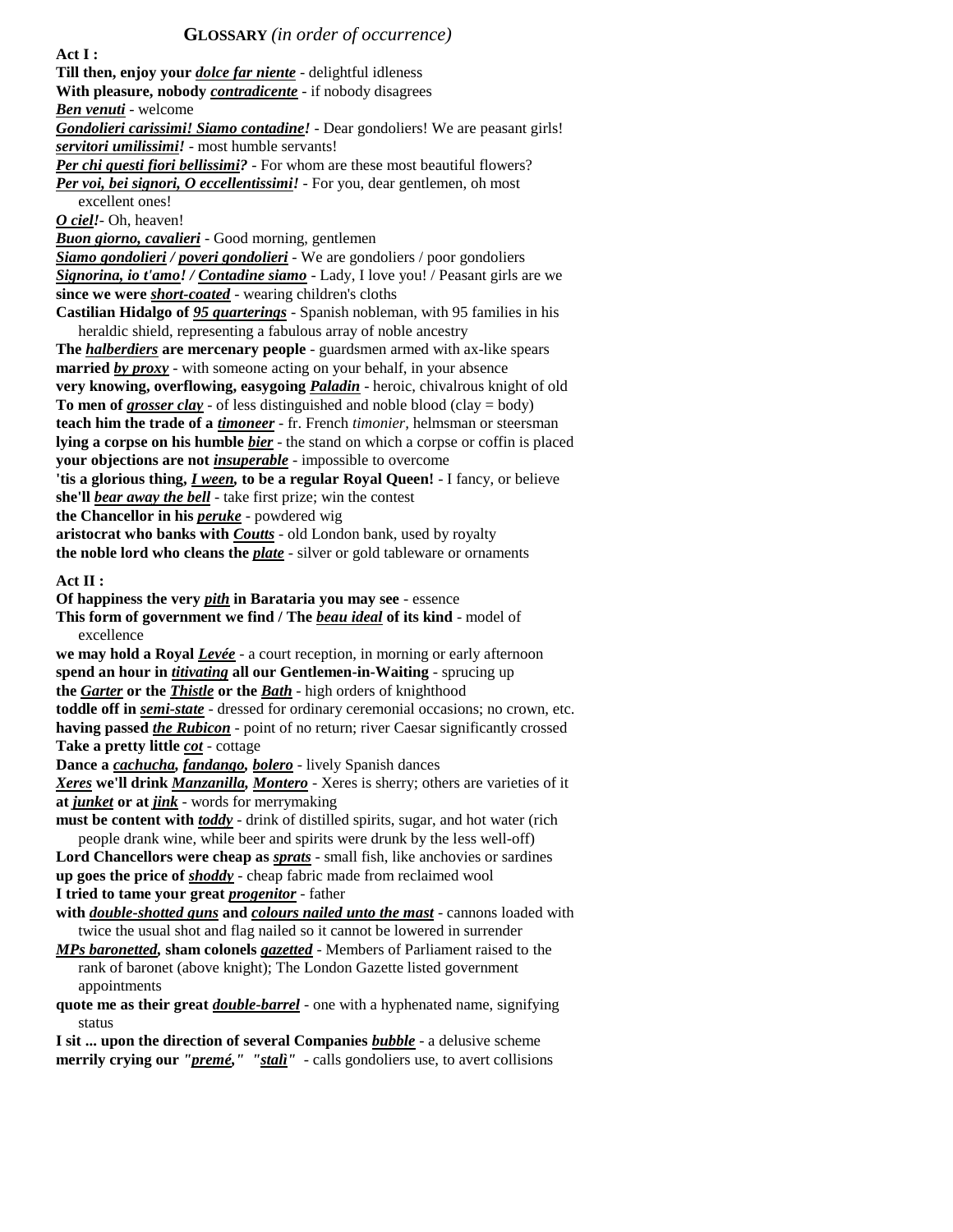**Act I : Till then, enjoy your** *dolce far niente* - delightful idleness **With pleasure, nobody** *contradicente* - if nobody disagrees *Ben venuti* - welcome *Gondolieri carissimi! Siamo contadine!* - Dear gondoliers! We are peasant girls! *servitori umilissimi!* - most humble servants! *Per chi questi fiori bellissimi?* - For whom are these most beautiful flowers? *Per voi, bei signori, O eccellentissimi!* - For you, dear gentlemen, oh most excellent ones! *O ciel!*- Oh, heaven! *Buon giorno, cavalieri* - Good morning, gentlemen *Siamo gondolieri / poveri gondolieri* - We are gondoliers / poor gondoliers *Signorina, io t'amo! / Contadine siamo* - Lady, I love you! / Peasant girls are we **since we were** *short-coated* - wearing children's cloths **Castilian Hidalgo of** *95 quarterings* - Spanish nobleman, with 95 families in his heraldic shield, representing a fabulous array of noble ancestry **The** *halberdiers* **are mercenary people** - guardsmen armed with ax-like spears **married** *by proxy* - with someone acting on your behalf, in your absence **very knowing, overflowing, easygoing** *Paladin* - heroic, chivalrous knight of old **To men of** *grosser clay* - of less distinguished and noble blood (clay = body) **teach him the trade of a** *timoneer* - fr. French *timonier,* helmsman or steersman **lying a corpse on his humble** *bier* - the stand on which a corpse or coffin is placed **your objections are not** *insuperable* - impossible to overcome **'tis a glorious thing,** *I ween,* **to be a regular Royal Queen!** - I fancy, or believe **she'll** *bear away the bell* - take first prize; win the contest **the Chancellor in his** *peruke* - powdered wig **aristocrat who banks with** *Coutts* - old London bank, used by royalty **the noble lord who cleans the** *plate* - silver or gold tableware or ornaments **Act II : Of happiness the very** *pith* **in Barataria you may see** - essence **This form of government we find / The** *beau ideal* **of its kind** - model of excellence **we may hold a Royal** *Levée* - a court reception, in morning or early afternoon **spend an hour in** *titivating* **all our Gentlemen-in-Waiting** - sprucing up **the** *Garter* **or the** *Thistle* **or the** *Bath* - high orders of knighthood **toddle off in** *semi-state* - dressed for ordinary ceremonial occasions; no crown, etc. **having passed** *the Rubicon* - point of no return; river Caesar significantly crossed **Take a pretty little** *cot* - cottage **Dance a** *cachucha, fandango, bolero* - lively Spanish dances *Xeres* **we'll drink** *Manzanilla, Montero* - Xeres is sherry; others are varieties of it **at** *junket* **or at** *jink* - words for merrymaking **must be content with** *toddy* - drink of distilled spirits, sugar, and hot water (rich people drank wine, while beer and spirits were drunk by the less well-off) **Lord Chancellors were cheap as** *sprats* - small fish, like anchovies or sardines **up goes the price of** *shoddy* - cheap fabric made from reclaimed wool **I tried to tame your great** *progenitor* - father **with** *double-shotted guns* **and** *colours nailed unto the mast* - cannons loaded with twice the usual shot and flag nailed so it cannot be lowered in surrender *MPs baronetted,* **sham colonels** *gazetted* - Members of Parliament raised to the rank of baronet (above knight); The London Gazette listed government appointments **quote me as their great** *double-barrel* - one with a hyphenated name, signifying status **I sit ... upon the direction of several Companies** *bubble* - a delusive scheme **merrily crying our** *"premé," "stalì"* - calls gondoliers use, to avert collisions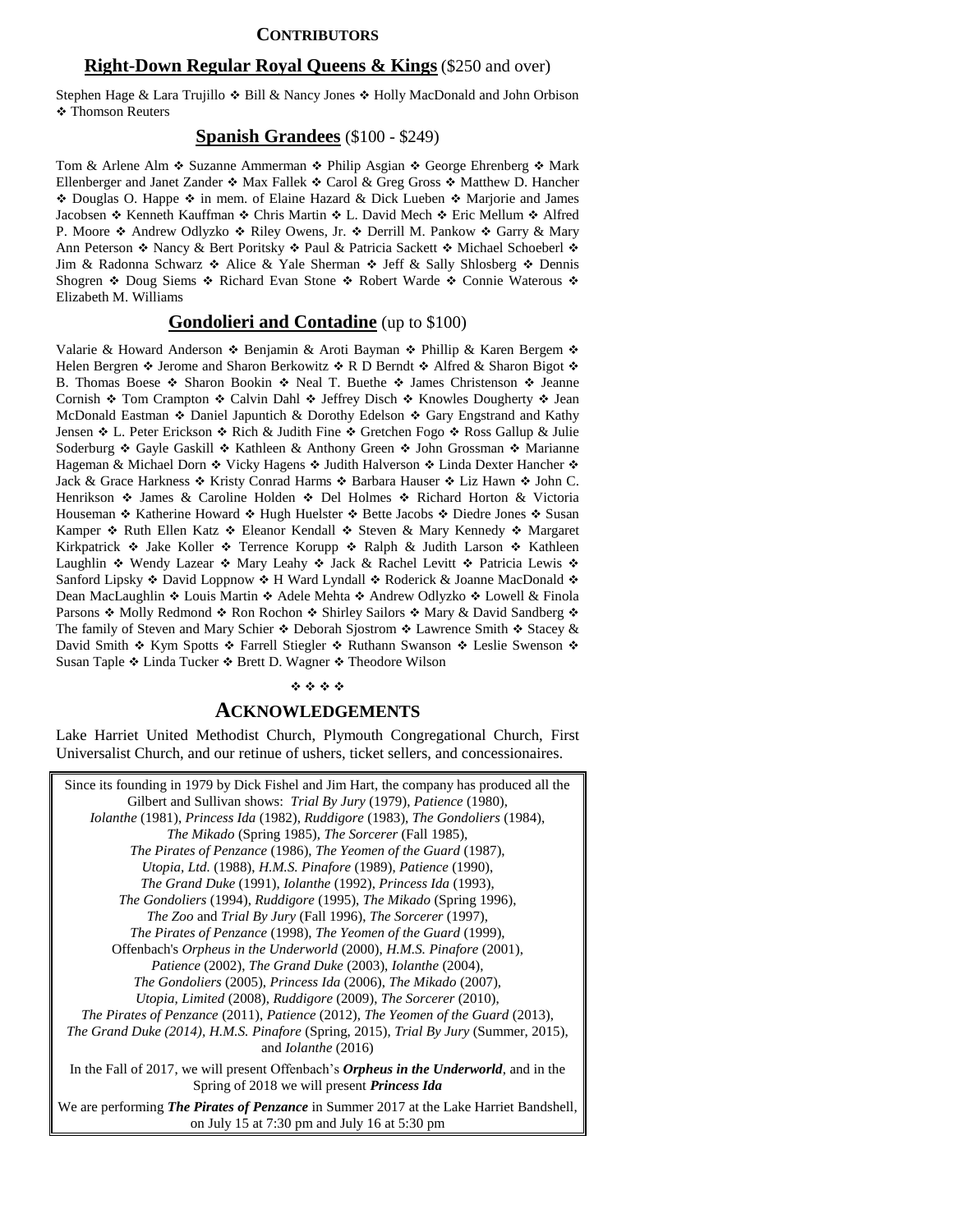#### **CONTRIBUTORS**

#### **Right-Down Regular Royal Queens & Kings** (\$250 and over)

Stephen Hage & Lara Trujillo  $\triangle$  Bill & Nancy Jones  $\triangle$  Holly MacDonald and John Orbison Thomson Reuters

#### **Spanish Grandees** (\$100 - \$249)

Tom & Arlene Alm ❖ Suzanne Ammerman ❖ Philip Asgian ❖ George Ehrenberg ❖ Mark Ellenberger and Janet Zander  $\div$  Max Fallek  $\div$  Carol & Greg Gross  $\div$  Matthew D. Hancher  $\div$  Douglas O. Happe  $\div$  in mem. of Elaine Hazard & Dick Lueben  $\div$  Marjorie and James Jacobsen Kenneth Kauffman Chris Martin L. David Mech Eric Mellum Alfred P. Moore  $\triangle$  Andrew Odlyzko  $\triangle$  Riley Owens, Jr.  $\triangle$  Derrill M. Pankow  $\triangle$  Garry & Mary Ann Peterson  $\triangle$  Nancy & Bert Poritsky  $\triangle$  Paul & Patricia Sackett  $\triangle$  Michael Schoeberl  $\triangle$ Jim & Radonna Schwarz  $\triangle$  Alice & Yale Sherman  $\triangle$  Jeff & Sally Shlosberg  $\triangle$  Dennis Shogren  $\cdot$  Doug Siems  $\cdot$  Richard Evan Stone  $\cdot$  Robert Warde  $\cdot$  Connie Waterous  $\cdot$ Elizabeth M. Williams

#### **Gondolieri and Contadine** (up to \$100)

Valarie & Howard Anderson  $\cdot$  Benjamin & Aroti Bayman  $\cdot$  Phillip & Karen Bergem  $\cdot$ Helen Bergren  $\cdot$  Jerome and Sharon Berkowitz  $\cdot \cdot$  R D Berndt  $\cdot \cdot$  Alfred & Sharon Bigot  $\cdot \cdot$ B. Thomas Boese  $\bullet$  Sharon Bookin  $\bullet$  Neal T. Buethe  $\bullet$  James Christenson  $\bullet$  Jeanne Cornish  $\cdot$  Tom Crampton  $\cdot$  Calvin Dahl  $\cdot$  Jeffrey Disch  $\cdot$  Knowles Dougherty  $\cdot$  Jean McDonald Eastman  $\bullet$  Daniel Japuntich & Dorothy Edelson  $\bullet$  Gary Engstrand and Kathy Jensen  $\cdot L$ . Peter Erickson  $\cdot R$  Rich & Judith Fine  $\cdot R$  Gretchen Fogo  $\cdot R$  Ross Gallup & Julie Soderburg  $\div$  Gayle Gaskill  $\div$  Kathleen & Anthony Green  $\div$  John Grossman  $\div$  Marianne Hageman & Michael Dorn  $\div$  Vicky Hagens  $\div$  Judith Halverson  $\div$  Linda Dexter Hancher  $\div$ Jack & Grace Harkness  $\triangle$  Kristy Conrad Harms  $\triangle$  Barbara Hauser  $\triangle$  Liz Hawn  $\triangle$  John C. Henrikson  $\div$  James & Caroline Holden  $\div$  Del Holmes  $\div$  Richard Horton & Victoria Houseman ◆ Katherine Howard ◆ Hugh Huelster ◆ Bette Jacobs ◆ Diedre Jones ◆ Susan Kamper  $\triangle$  Ruth Ellen Katz  $\triangle$  Eleanor Kendall  $\triangle$  Steven & Mary Kennedy  $\triangle$  Margaret Kirkpatrick  $\div$  Jake Koller  $\div$  Terrence Korupp  $\div$  Ralph & Judith Larson  $\div$  Kathleen Laughlin  $\div$  Wendy Lazear  $\div$  Mary Leahy  $\div$  Jack & Rachel Levitt  $\div$  Patricia Lewis  $\div$ Sanford Lipsky  $\div$  David Loppnow  $\div$  H Ward Lyndall  $\div$  Roderick & Joanne MacDonald  $\div$ Dean MacLaughlin ❖ Louis Martin ❖ Adele Mehta ❖ Andrew Odlyzko ❖ Lowell & Finola Parsons  $\div$  Molly Redmond  $\div$  Ron Rochon  $\div$  Shirley Sailors  $\div$  Mary & David Sandberg  $\div$ The family of Steven and Mary Schier  $\div$  Deborah Sjostrom  $\div$  Lawrence Smith  $\div$  Stacey & David Smith ◆ Kym Spotts ◆ Farrell Stiegler ◆ Ruthann Swanson ◆ Leslie Swenson ◆ Susan Taple  $\triangleleft$  Linda Tucker  $\triangleleft$  Brett D. Wagner  $\triangleleft$  Theodore Wilson

#### \*\*\*\*

#### **ACKNOWLEDGEMENTS**

Lake Harriet United Methodist Church, Plymouth Congregational Church, First Universalist Church, and our retinue of ushers, ticket sellers, and concessionaires.

Since its founding in 1979 by Dick Fishel and Jim Hart, the company has produced all the Gilbert and Sullivan shows: *Trial By Jury* (1979), *Patience* (1980), *Iolanthe* (1981), *Princess Ida* (1982), *Ruddigore* (1983), *The Gondoliers* (1984), *The Mikado* (Spring 1985), *The Sorcerer* (Fall 1985), *The Pirates of Penzance* (1986), *The Yeomen of the Guard* (1987), *Utopia, Ltd.* (1988), *H.M.S. Pinafore* (1989), *Patience* (1990), *The Grand Duke* (1991), *Iolanthe* (1992), *Princess Ida* (1993), *The Gondoliers* (1994), *Ruddigore* (1995), *The Mikado* (Spring 1996), *The Zoo* and *Trial By Jury* (Fall 1996), *The Sorcerer* (1997), *The Pirates of Penzance* (1998), *The Yeomen of the Guard* (1999), Offenbach's *Orpheus in the Underworld* (2000), *H.M.S. Pinafore* (2001), *Patience* (2002), *The Grand Duke* (2003), *Iolanthe* (2004), *The Gondoliers* (2005), *Princess Ida* (2006), *The Mikado* (2007), *Utopia, Limited* (2008), *Ruddigore* (2009), *The Sorcerer* (2010), *The Pirates of Penzance* (2011), *Patience* (2012), *The Yeomen of the Guard* (2013), *The Grand Duke (2014), H.M.S. Pinafore* (Spring, 2015), *Trial By Jury* (Summer, 2015), and *Iolanthe* (2016) In the Fall of 2017, we will present Offenbach's *Orpheus in the Underworld*, and in the Spring of 2018 we will present *Princess Ida* We are performing *The Pirates of Penzance* in Summer 2017 at the Lake Harriet Bandshell, on July 15 at 7:30 pm and July 16 at 5:30 pm